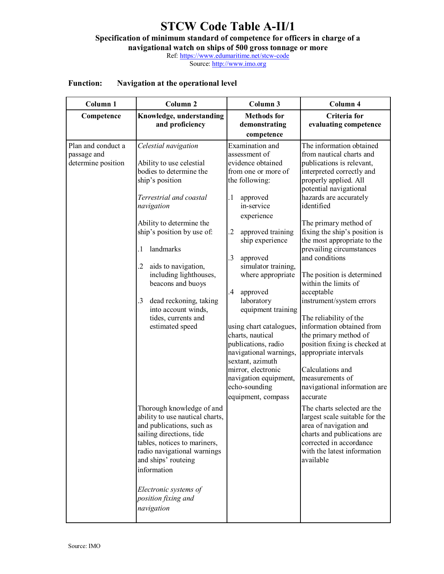## **STCW Code Table A-II/1 Specification of minimum standard of competence for officers in charge of a**

**navigational watch on ships of 500 gross tonnage or more** 

Ref: https://www.edumaritime.net/stcw-code

Source: http://www.imo.org

## **Function: Navigation at the operational level**

| Column <sub>1</sub>                                     | Column <sub>2</sub>                                                                                                                                                                                                                                                                                                                                                                                                                                                                                                                                                                                                                                                                                       | Column 3                                                                                                                                                                                                                                                                                                                                                                                                                                                                                                                                                | Column 4                                                                                                                                                                                                                                                                                                                                                                                                                                                                                                                                                                                                                                                                                                                                                                                                                                                                       |
|---------------------------------------------------------|-----------------------------------------------------------------------------------------------------------------------------------------------------------------------------------------------------------------------------------------------------------------------------------------------------------------------------------------------------------------------------------------------------------------------------------------------------------------------------------------------------------------------------------------------------------------------------------------------------------------------------------------------------------------------------------------------------------|---------------------------------------------------------------------------------------------------------------------------------------------------------------------------------------------------------------------------------------------------------------------------------------------------------------------------------------------------------------------------------------------------------------------------------------------------------------------------------------------------------------------------------------------------------|--------------------------------------------------------------------------------------------------------------------------------------------------------------------------------------------------------------------------------------------------------------------------------------------------------------------------------------------------------------------------------------------------------------------------------------------------------------------------------------------------------------------------------------------------------------------------------------------------------------------------------------------------------------------------------------------------------------------------------------------------------------------------------------------------------------------------------------------------------------------------------|
| Competence                                              | Knowledge, understanding<br>and proficiency                                                                                                                                                                                                                                                                                                                                                                                                                                                                                                                                                                                                                                                               | <b>Methods</b> for<br>demonstrating<br>competence                                                                                                                                                                                                                                                                                                                                                                                                                                                                                                       | Criteria for<br>evaluating competence                                                                                                                                                                                                                                                                                                                                                                                                                                                                                                                                                                                                                                                                                                                                                                                                                                          |
| Plan and conduct a<br>passage and<br>determine position | Celestial navigation<br>Ability to use celestial<br>bodies to determine the<br>ship's position<br>Terrestrial and coastal<br>navigation<br>Ability to determine the<br>ship's position by use of:<br>landmarks<br>.1<br>$\overline{2}$<br>aids to navigation,<br>including lighthouses,<br>beacons and buoys<br>.3<br>dead reckoning, taking<br>into account winds,<br>tides, currents and<br>estimated speed<br>Thorough knowledge of and<br>ability to use nautical charts,<br>and publications, such as<br>sailing directions, tide<br>tables, notices to mariners,<br>radio navigational warnings<br>and ships' routeing<br>information<br>Electronic systems of<br>position fixing and<br>navigation | Examination and<br>assessment of<br>evidence obtained<br>from one or more of<br>the following:<br>$\cdot$ 1<br>approved<br>in-service<br>experience<br>$\overline{c}$<br>approved training<br>ship experience<br>3<br>approved<br>simulator training,<br>where appropriate<br>$\overline{.4}$<br>approved<br>laboratory<br>equipment training<br>using chart catalogues,<br>charts, nautical<br>publications, radio<br>navigational warnings,<br>sextant, azimuth<br>mirror, electronic<br>navigation equipment,<br>echo-sounding<br>equipment, compass | The information obtained<br>from nautical charts and<br>publications is relevant,<br>interpreted correctly and<br>properly applied. All<br>potential navigational<br>hazards are accurately<br>identified<br>The primary method of<br>fixing the ship's position is<br>the most appropriate to the<br>prevailing circumstances<br>and conditions<br>The position is determined<br>within the limits of<br>acceptable<br>instrument/system errors<br>The reliability of the<br>information obtained from<br>the primary method of<br>position fixing is checked at<br>appropriate intervals<br>Calculations and<br>measurements of<br>navigational information are<br>accurate<br>The charts selected are the<br>largest scale suitable for the<br>area of navigation and<br>charts and publications are<br>corrected in accordance<br>with the latest information<br>available |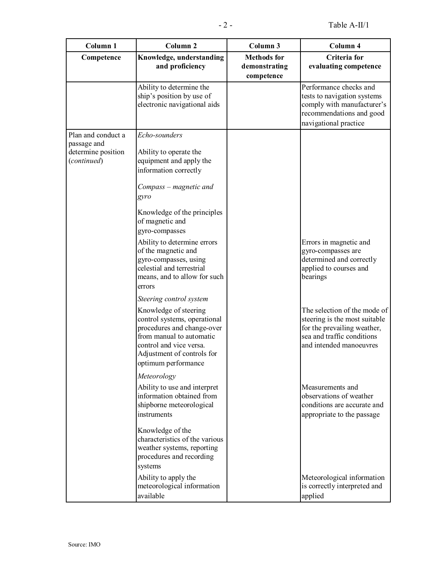| Column <sub>1</sub>                                                    | Column <sub>2</sub>                                                                                                                                                                                                                                                                                                                                                                | Column 3                                          | Column 4                                                                                                                                              |
|------------------------------------------------------------------------|------------------------------------------------------------------------------------------------------------------------------------------------------------------------------------------------------------------------------------------------------------------------------------------------------------------------------------------------------------------------------------|---------------------------------------------------|-------------------------------------------------------------------------------------------------------------------------------------------------------|
| Competence                                                             | Knowledge, understanding<br>and proficiency                                                                                                                                                                                                                                                                                                                                        | <b>Methods</b> for<br>demonstrating<br>competence | Criteria for<br>evaluating competence                                                                                                                 |
|                                                                        | Ability to determine the<br>ship's position by use of<br>electronic navigational aids                                                                                                                                                                                                                                                                                              |                                                   | Performance checks and<br>tests to navigation systems<br>comply with manufacturer's<br>recommendations and good<br>navigational practice              |
| Plan and conduct a<br>passage and<br>determine position<br>(continued) | Echo-sounders<br>Ability to operate the<br>equipment and apply the<br>information correctly<br>Compass – magnetic and<br>gyro<br>Knowledge of the principles<br>of magnetic and<br>gyro-compasses<br>Ability to determine errors<br>of the magnetic and<br>gyro-compasses, using<br>celestial and terrestrial<br>means, and to allow for such<br>errors<br>Steering control system |                                                   | Errors in magnetic and<br>gyro-compasses are<br>determined and correctly<br>applied to courses and<br>bearings                                        |
|                                                                        | Knowledge of steering<br>control systems, operational<br>procedures and change-over<br>from manual to automatic<br>control and vice versa.<br>Adjustment of controls for<br>optimum performance<br>Meteorology                                                                                                                                                                     |                                                   | The selection of the mode of<br>steering is the most suitable<br>for the prevailing weather,<br>sea and traffic conditions<br>and intended manoeuvres |
|                                                                        | Ability to use and interpret<br>information obtained from<br>shipborne meteorological<br>instruments                                                                                                                                                                                                                                                                               |                                                   | Measurements and<br>observations of weather<br>conditions are accurate and<br>appropriate to the passage                                              |
|                                                                        | Knowledge of the<br>characteristics of the various<br>weather systems, reporting<br>procedures and recording<br>systems                                                                                                                                                                                                                                                            |                                                   |                                                                                                                                                       |
|                                                                        | Ability to apply the<br>meteorological information<br>available                                                                                                                                                                                                                                                                                                                    |                                                   | Meteorological information<br>is correctly interpreted and<br>applied                                                                                 |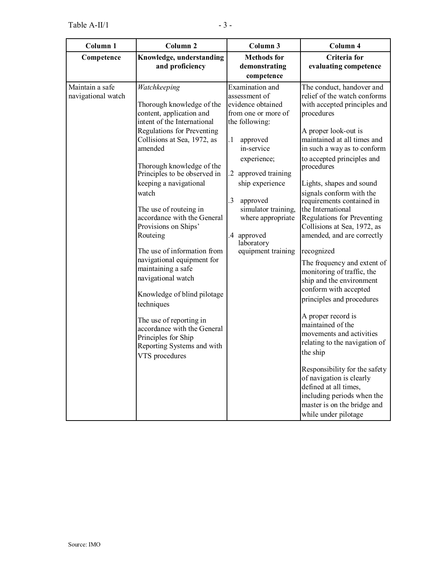| Column 1                              | Column <sub>2</sub>                                                                                                                                                                                                                                                                                                                                                                                                                                                                                                                                                                                                                                              | Column 3                                                                                                                                                                                                                                                                                                                         | Column 4                                                                                                                                                                                                                                                                                                                                                                                                                                                                                                                                                                                                                                                                                                                                                                                                                                                                                                   |
|---------------------------------------|------------------------------------------------------------------------------------------------------------------------------------------------------------------------------------------------------------------------------------------------------------------------------------------------------------------------------------------------------------------------------------------------------------------------------------------------------------------------------------------------------------------------------------------------------------------------------------------------------------------------------------------------------------------|----------------------------------------------------------------------------------------------------------------------------------------------------------------------------------------------------------------------------------------------------------------------------------------------------------------------------------|------------------------------------------------------------------------------------------------------------------------------------------------------------------------------------------------------------------------------------------------------------------------------------------------------------------------------------------------------------------------------------------------------------------------------------------------------------------------------------------------------------------------------------------------------------------------------------------------------------------------------------------------------------------------------------------------------------------------------------------------------------------------------------------------------------------------------------------------------------------------------------------------------------|
| Competence                            | Knowledge, understanding<br>and proficiency                                                                                                                                                                                                                                                                                                                                                                                                                                                                                                                                                                                                                      | <b>Methods</b> for<br>demonstrating<br>competence                                                                                                                                                                                                                                                                                | Criteria for<br>evaluating competence                                                                                                                                                                                                                                                                                                                                                                                                                                                                                                                                                                                                                                                                                                                                                                                                                                                                      |
| Maintain a safe<br>navigational watch | Watchkeeping<br>Thorough knowledge of the<br>content, application and<br>intent of the International<br>Regulations for Preventing<br>Collisions at Sea, 1972, as<br>amended<br>Thorough knowledge of the<br>Principles to be observed in<br>keeping a navigational<br>watch<br>The use of routeing in<br>accordance with the General<br>Provisions on Ships'<br>Routeing<br>The use of information from<br>navigational equipment for<br>maintaining a safe<br>navigational watch<br>Knowledge of blind pilotage<br>techniques<br>The use of reporting in<br>accordance with the General<br>Principles for Ship<br>Reporting Systems and with<br>VTS procedures | Examination and<br>assessment of<br>evidence obtained<br>from one or more of<br>the following:<br>$\cdot$ 1<br>approved<br>in-service<br>experience;<br>approved training<br>$\mathbf{2}$<br>ship experience<br>.3<br>approved<br>simulator training,<br>where appropriate<br>approved<br>.4<br>laboratory<br>equipment training | The conduct, handover and<br>relief of the watch conforms<br>with accepted principles and<br>procedures<br>A proper look-out is<br>maintained at all times and<br>in such a way as to conform<br>to accepted principles and<br>procedures<br>Lights, shapes and sound<br>signals conform with the<br>requirements contained in<br>the International<br>Regulations for Preventing<br>Collisions at Sea, 1972, as<br>amended, and are correctly<br>recognized<br>The frequency and extent of<br>monitoring of traffic, the<br>ship and the environment<br>conform with accepted<br>principles and procedures<br>A proper record is<br>maintained of the<br>movements and activities<br>relating to the navigation of<br>the ship<br>Responsibility for the safety<br>of navigation is clearly<br>defined at all times,<br>including periods when the<br>master is on the bridge and<br>while under pilotage |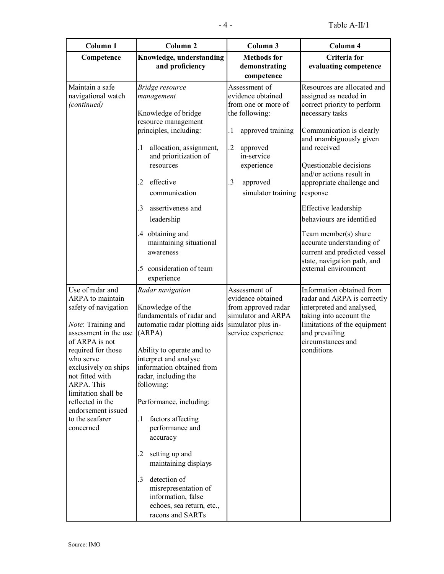| Column <sub>1</sub>                                                                                                                                                                                                                                                                                    | Column <sub>2</sub>                                                                                                                                                                                                                                                                                                            | Column 3                                                                                                   | Column 4                                                                                                                                                                          |
|--------------------------------------------------------------------------------------------------------------------------------------------------------------------------------------------------------------------------------------------------------------------------------------------------------|--------------------------------------------------------------------------------------------------------------------------------------------------------------------------------------------------------------------------------------------------------------------------------------------------------------------------------|------------------------------------------------------------------------------------------------------------|-----------------------------------------------------------------------------------------------------------------------------------------------------------------------------------|
| Competence                                                                                                                                                                                                                                                                                             | Knowledge, understanding<br>and proficiency                                                                                                                                                                                                                                                                                    | <b>Methods</b> for<br>demonstrating<br>competence                                                          | Criteria for<br>evaluating competence                                                                                                                                             |
| Maintain a safe<br>navigational watch<br>(continued)                                                                                                                                                                                                                                                   | Bridge resource<br>management<br>Knowledge of bridge<br>resource management                                                                                                                                                                                                                                                    | Assessment of<br>evidence obtained<br>from one or more of<br>the following:                                | Resources are allocated and<br>assigned as needed in<br>correct priority to perform<br>necessary tasks                                                                            |
|                                                                                                                                                                                                                                                                                                        | principles, including:<br>allocation, assignment,<br>.1<br>and prioritization of<br>resources<br>effective<br>$\overline{2}$                                                                                                                                                                                                   | $\cdot$<br>approved training<br>$\cdot$<br>approved<br>in-service<br>experience<br>.3<br>approved          | Communication is clearly<br>and unambiguously given<br>and received<br>Questionable decisions<br>and/or actions result in<br>appropriate challenge and                            |
|                                                                                                                                                                                                                                                                                                        | communication<br>3<br>assertiveness and<br>leadership<br>.4 obtaining and<br>maintaining situational<br>awareness                                                                                                                                                                                                              | simulator training                                                                                         | response<br>Effective leadership<br>behaviours are identified<br>Team member(s) share<br>accurate understanding of<br>current and predicted vessel<br>state, navigation path, and |
| Use of radar and                                                                                                                                                                                                                                                                                       | consideration of team<br>.5<br>experience<br>Radar navigation                                                                                                                                                                                                                                                                  | Assessment of                                                                                              | external environment<br>Information obtained from                                                                                                                                 |
| ARPA to maintain<br>safety of navigation<br>Note: Training and<br>assessment in the use<br>of ARPA is not<br>required for those<br>who serve<br>exclusively on ships<br>not fitted with<br>ARPA. This<br>limitation shall be<br>reflected in the<br>endorsement issued<br>to the seafarer<br>concerned | Knowledge of the<br>fundamentals of radar and<br>automatic radar plotting aids<br>(ARPA)<br>Ability to operate and to<br>interpret and analyse<br>information obtained from<br>radar, including the<br>following:<br>Performance, including:<br>factors affecting<br>.1<br>performance and<br>accuracy<br>setting up and<br>.2 | evidence obtained<br>from approved radar<br>simulator and ARPA<br>simulator plus in-<br>service experience | radar and ARPA is correctly<br>interpreted and analysed,<br>taking into account the<br>limitations of the equipment<br>and prevailing<br>circumstances and<br>conditions          |
|                                                                                                                                                                                                                                                                                                        | maintaining displays<br>detection of<br>3.<br>misrepresentation of<br>information, false<br>echoes, sea return, etc.,<br>racons and SARTs                                                                                                                                                                                      |                                                                                                            |                                                                                                                                                                                   |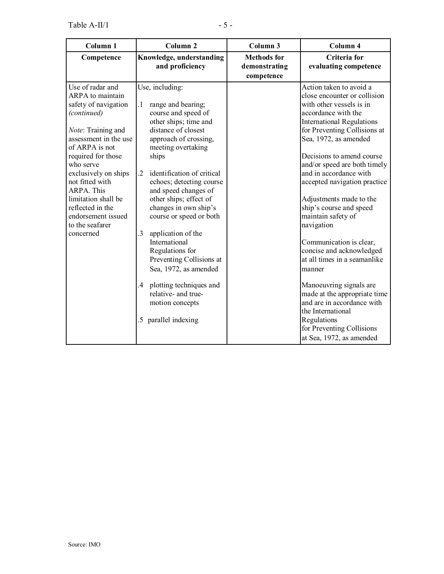| Column <sub>1</sub>                                                                                                                                                                                                                                                                                                                              | Column <sub>2</sub>                                                                                                                                                                                                                                                                                                                                                                                                                                                                                                                                                                        | Column 3                                          | Column 4                                                                                                                                                                                                                                                                                                                                                                                                                                                                                                                                                                                                                                                                                                        |
|--------------------------------------------------------------------------------------------------------------------------------------------------------------------------------------------------------------------------------------------------------------------------------------------------------------------------------------------------|--------------------------------------------------------------------------------------------------------------------------------------------------------------------------------------------------------------------------------------------------------------------------------------------------------------------------------------------------------------------------------------------------------------------------------------------------------------------------------------------------------------------------------------------------------------------------------------------|---------------------------------------------------|-----------------------------------------------------------------------------------------------------------------------------------------------------------------------------------------------------------------------------------------------------------------------------------------------------------------------------------------------------------------------------------------------------------------------------------------------------------------------------------------------------------------------------------------------------------------------------------------------------------------------------------------------------------------------------------------------------------------|
| Competence                                                                                                                                                                                                                                                                                                                                       | Knowledge, understanding<br>and proficiency                                                                                                                                                                                                                                                                                                                                                                                                                                                                                                                                                | <b>Methods</b> for<br>demonstrating<br>competence | Criteria for<br>evaluating competence                                                                                                                                                                                                                                                                                                                                                                                                                                                                                                                                                                                                                                                                           |
| Use of radar and<br>ARPA to maintain<br>safety of navigation<br>(continued)<br>Note: Training and<br>assessment in the use<br>of ARPA is not<br>required for those<br>who serve<br>exclusively on ships<br>not fitted with<br><b>ARPA.</b> This<br>limitation shall be<br>reflected in the<br>endorsement issued<br>to the seafarer<br>concerned | Use, including:<br>range and bearing;<br>$\cdot$ 1<br>course and speed of<br>other ships; time and<br>distance of closest<br>approach of crossing,<br>meeting overtaking<br>ships<br>identification of critical<br>$\overline{2}$<br>echoes; detecting course<br>and speed changes of<br>other ships; effect of<br>changes in own ship's<br>course or speed or both<br>3<br>application of the<br>International<br>Regulations for<br>Preventing Collisions at<br>Sea, 1972, as amended<br>plotting techniques and<br>.4<br>relative- and true-<br>motion concepts<br>.5 parallel indexing |                                                   | Action taken to avoid a<br>close encounter or collision<br>with other vessels is in<br>accordance with the<br><b>International Regulations</b><br>for Preventing Collisions at<br>Sea, 1972, as amended<br>Decisions to amend course<br>and/or speed are both timely<br>and in accordance with<br>accepted navigation practice<br>Adjustments made to the<br>ship's course and speed<br>maintain safety of<br>navigation<br>Communication is clear,<br>concise and acknowledged<br>at all times in a seamanlike<br>manner<br>Manoeuvring signals are<br>made at the appropriate time<br>and are in accordance with<br>the International<br>Regulations<br>for Preventing Collisions<br>at Sea, 1972, as amended |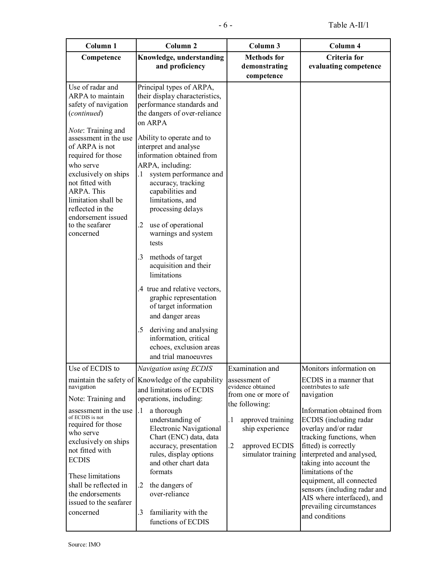| Column 1                                                                                                                                                                                                                                                                                                                                  | Column <sub>2</sub>                                                                                                                                                                                                                                                                                                                                                                                                                                                                                                                                                                                 | Column 3                                                                                                                                                                                 | Column 4                                                                                                                                                                                                                                                                                                                                 |
|-------------------------------------------------------------------------------------------------------------------------------------------------------------------------------------------------------------------------------------------------------------------------------------------------------------------------------------------|-----------------------------------------------------------------------------------------------------------------------------------------------------------------------------------------------------------------------------------------------------------------------------------------------------------------------------------------------------------------------------------------------------------------------------------------------------------------------------------------------------------------------------------------------------------------------------------------------------|------------------------------------------------------------------------------------------------------------------------------------------------------------------------------------------|------------------------------------------------------------------------------------------------------------------------------------------------------------------------------------------------------------------------------------------------------------------------------------------------------------------------------------------|
| Competence                                                                                                                                                                                                                                                                                                                                | Knowledge, understanding<br>and proficiency                                                                                                                                                                                                                                                                                                                                                                                                                                                                                                                                                         | <b>Methods</b> for<br>demonstrating<br>competence                                                                                                                                        | Criteria for<br>evaluating competence                                                                                                                                                                                                                                                                                                    |
| Use of radar and<br>ARPA to maintain<br>safety of navigation<br>(continued)<br>Note: Training and<br>assessment in the use<br>of ARPA is not<br>required for those<br>who serve<br>exclusively on ships<br>not fitted with<br>ARPA. This<br>limitation shall be<br>reflected in the<br>endorsement issued<br>to the seafarer<br>concerned | Principal types of ARPA,<br>their display characteristics,<br>performance standards and<br>the dangers of over-reliance<br>on ARPA<br>Ability to operate and to<br>interpret and analyse<br>information obtained from<br>ARPA, including:<br>system performance and<br>.1<br>accuracy, tracking<br>capabilities and<br>limitations, and<br>processing delays<br>use of operational<br>.2<br>warnings and system<br>tests<br>.3<br>methods of target<br>acquisition and their<br>limitations<br>.4 true and relative vectors,<br>graphic representation<br>of target information<br>and danger areas |                                                                                                                                                                                          |                                                                                                                                                                                                                                                                                                                                          |
|                                                                                                                                                                                                                                                                                                                                           | .5<br>deriving and analysing<br>information, critical<br>echoes, exclusion areas<br>and trial manoeuvres                                                                                                                                                                                                                                                                                                                                                                                                                                                                                            |                                                                                                                                                                                          |                                                                                                                                                                                                                                                                                                                                          |
| Use of ECDIS to                                                                                                                                                                                                                                                                                                                           | Navigation using ECDIS                                                                                                                                                                                                                                                                                                                                                                                                                                                                                                                                                                              | Examination and                                                                                                                                                                          | Monitors information on                                                                                                                                                                                                                                                                                                                  |
| navigation<br>Note: Training and<br>assessment in the use<br>of ECDIS is not<br>required for those<br>who serve<br>exclusively on ships<br>not fitted with<br><b>ECDIS</b><br>These limitations<br>shall be reflected in                                                                                                                  | maintain the safety of Knowledge of the capability<br>and limitations of ECDIS<br>operations, including:<br>a thorough<br>$\cdot$<br>understanding of<br><b>Electronic Navigational</b><br>Chart (ENC) data, data<br>accuracy, presentation<br>rules, display options<br>and other chart data<br>formats<br>the dangers of<br>.2                                                                                                                                                                                                                                                                    | assessment of<br>evidence obtained<br>from one or more of<br>the following:<br>$\cdot$<br>approved training<br>ship experience<br>$\overline{2}$<br>approved ECDIS<br>simulator training | ECDIS in a manner that<br>contributes to safe<br>navigation<br>Information obtained from<br>ECDIS (including radar<br>overlay and/or radar<br>tracking functions, when<br>fitted) is correctly<br>interpreted and analysed,<br>taking into account the<br>limitations of the<br>equipment, all connected<br>sensors (including radar and |
| the endorsements<br>issued to the seafarer<br>concerned                                                                                                                                                                                                                                                                                   | over-reliance<br>$\cdot$ 3<br>familiarity with the<br>functions of ECDIS                                                                                                                                                                                                                                                                                                                                                                                                                                                                                                                            |                                                                                                                                                                                          | AIS where interfaced), and<br>prevailing circumstances<br>and conditions                                                                                                                                                                                                                                                                 |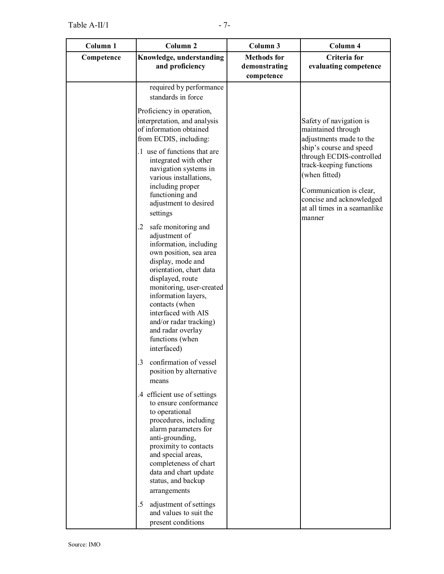| Column 1   | Column <sub>2</sub>                                                                                                                                                                                                                                                                                                                             | Column 3                                          | Column 4                                                                                                                                                                                                                                                           |
|------------|-------------------------------------------------------------------------------------------------------------------------------------------------------------------------------------------------------------------------------------------------------------------------------------------------------------------------------------------------|---------------------------------------------------|--------------------------------------------------------------------------------------------------------------------------------------------------------------------------------------------------------------------------------------------------------------------|
| Competence | Knowledge, understanding<br>and proficiency                                                                                                                                                                                                                                                                                                     | <b>Methods</b> for<br>demonstrating<br>competence | Criteria for<br>evaluating competence                                                                                                                                                                                                                              |
|            | required by performance<br>standards in force                                                                                                                                                                                                                                                                                                   |                                                   |                                                                                                                                                                                                                                                                    |
|            | Proficiency in operation,<br>interpretation, and analysis<br>of information obtained<br>from ECDIS, including:<br>.1 use of functions that are<br>integrated with other<br>navigation systems in<br>various installations,<br>including proper<br>functioning and<br>adjustment to desired<br>settings                                          |                                                   | Safety of navigation is<br>maintained through<br>adjustments made to the<br>ship's course and speed<br>through ECDIS-controlled<br>track-keeping functions<br>(when fitted)<br>Communication is clear,<br>concise and acknowledged<br>at all times in a seamanlike |
|            | safe monitoring and<br>.2<br>adjustment of<br>information, including<br>own position, sea area<br>display, mode and<br>orientation, chart data<br>displayed, route<br>monitoring, user-created<br>information layers,<br>contacts (when<br>interfaced with AIS<br>and/or radar tracking)<br>and radar overlay<br>functions (when<br>interfaced) |                                                   | manner                                                                                                                                                                                                                                                             |
|            | 3 confirmation of vessel<br>position by alternative<br>means                                                                                                                                                                                                                                                                                    |                                                   |                                                                                                                                                                                                                                                                    |
|            | .4 efficient use of settings<br>to ensure conformance<br>to operational<br>procedures, including<br>alarm parameters for<br>anti-grounding,<br>proximity to contacts<br>and special areas,<br>completeness of chart<br>data and chart update<br>status, and backup<br>arrangements                                                              |                                                   |                                                                                                                                                                                                                                                                    |
|            | adjustment of settings<br>$.5\,$<br>and values to suit the<br>present conditions                                                                                                                                                                                                                                                                |                                                   |                                                                                                                                                                                                                                                                    |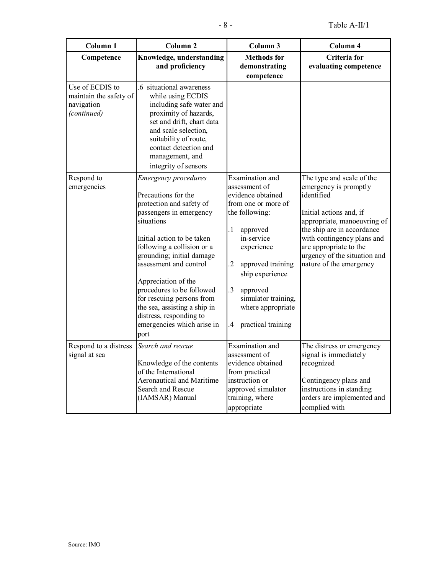| Column <sub>1</sub>                                                    | Column <sub>2</sub>                                                                                                                                                                                                                                                                                                                                                                                                          | Column 3                                                                                                                                                                                                                                                                                                | Column 4                                                                                                                                                                                                                                                                    |
|------------------------------------------------------------------------|------------------------------------------------------------------------------------------------------------------------------------------------------------------------------------------------------------------------------------------------------------------------------------------------------------------------------------------------------------------------------------------------------------------------------|---------------------------------------------------------------------------------------------------------------------------------------------------------------------------------------------------------------------------------------------------------------------------------------------------------|-----------------------------------------------------------------------------------------------------------------------------------------------------------------------------------------------------------------------------------------------------------------------------|
| Competence                                                             | Knowledge, understanding<br>and proficiency                                                                                                                                                                                                                                                                                                                                                                                  | <b>Methods</b> for<br>demonstrating<br>competence                                                                                                                                                                                                                                                       | Criteria for<br>evaluating competence                                                                                                                                                                                                                                       |
| Use of ECDIS to<br>maintain the safety of<br>navigation<br>(continued) | .6 situational awareness<br>while using ECDIS<br>including safe water and<br>proximity of hazards,<br>set and drift, chart data<br>and scale selection,<br>suitability of route,<br>contact detection and<br>management, and<br>integrity of sensors                                                                                                                                                                         |                                                                                                                                                                                                                                                                                                         |                                                                                                                                                                                                                                                                             |
| Respond to<br>emergencies                                              | <b>Emergency</b> procedures<br>Precautions for the<br>protection and safety of<br>passengers in emergency<br>situations<br>Initial action to be taken<br>following a collision or a<br>grounding; initial damage<br>assessment and control<br>Appreciation of the<br>procedures to be followed<br>for rescuing persons from<br>the sea, assisting a ship in<br>distress, responding to<br>emergencies which arise in<br>port | Examination and<br>assessment of<br>evidence obtained<br>from one or more of<br>the following:<br>$\cdot$ 1<br>approved<br>in-service<br>experience<br>$\cdot$<br>approved training<br>ship experience<br>$\cdot$ 3<br>approved<br>simulator training,<br>where appropriate<br>practical training<br>.4 | The type and scale of the<br>emergency is promptly<br>identified<br>Initial actions and, if<br>appropriate, manoeuvring of<br>the ship are in accordance<br>with contingency plans and<br>are appropriate to the<br>urgency of the situation and<br>nature of the emergency |
| Respond to a distress<br>signal at sea                                 | Search and rescue<br>Knowledge of the contents<br>of the International<br>Aeronautical and Maritime<br>Search and Rescue<br>(IAMSAR) Manual                                                                                                                                                                                                                                                                                  | Examination and<br>assessment of<br>evidence obtained<br>from practical<br>instruction or<br>approved simulator<br>training, where<br>appropriate                                                                                                                                                       | The distress or emergency<br>signal is immediately<br>recognized<br>Contingency plans and<br>instructions in standing<br>orders are implemented and<br>complied with                                                                                                        |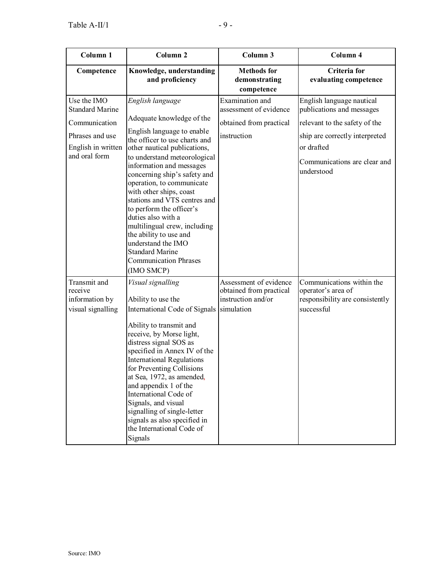| Column 1                                                                                                         | Column <sub>2</sub>                                                                                                                                                                                                                                                                                                                                                                                                                                                                                                                        | Column 3                                                                                   | Column 4                                                                                                                                                                              |
|------------------------------------------------------------------------------------------------------------------|--------------------------------------------------------------------------------------------------------------------------------------------------------------------------------------------------------------------------------------------------------------------------------------------------------------------------------------------------------------------------------------------------------------------------------------------------------------------------------------------------------------------------------------------|--------------------------------------------------------------------------------------------|---------------------------------------------------------------------------------------------------------------------------------------------------------------------------------------|
| Competence                                                                                                       | Knowledge, understanding<br>and proficiency                                                                                                                                                                                                                                                                                                                                                                                                                                                                                                | <b>Methods</b> for<br>demonstrating<br>competence                                          | Criteria for<br>evaluating competence                                                                                                                                                 |
| Use the IMO<br><b>Standard Marine</b><br>Communication<br>Phrases and use<br>English in written<br>and oral form | English language<br>Adequate knowledge of the<br>English language to enable<br>the officer to use charts and<br>other nautical publications,<br>to understand meteorological<br>information and messages<br>concerning ship's safety and<br>operation, to communicate<br>with other ships, coast<br>stations and VTS centres and<br>to perform the officer's<br>duties also with a<br>multilingual crew, including<br>the ability to use and<br>understand the IMO<br><b>Standard Marine</b><br><b>Communication Phrases</b><br>(IMO SMCP) | <b>Examination</b> and<br>assessment of evidence<br>obtained from practical<br>instruction | English language nautical<br>publications and messages<br>relevant to the safety of the<br>ship are correctly interpreted<br>or drafted<br>Communications are clear and<br>understood |
| Transmit and<br>receive<br>information by<br>visual signalling                                                   | Visual signalling<br>Ability to use the<br>International Code of Signals<br>Ability to transmit and<br>receive, by Morse light,<br>distress signal SOS as<br>specified in Annex IV of the<br><b>International Regulations</b><br>for Preventing Collisions<br>at Sea, 1972, as amended,<br>and appendix 1 of the<br>International Code of<br>Signals, and visual<br>signalling of single-letter<br>signals as also specified in<br>the International Code of<br>Signals                                                                    | Assessment of evidence<br>obtained from practical<br>instruction and/or<br>simulation      | Communications within the<br>operator's area of<br>responsibility are consistently<br>successful                                                                                      |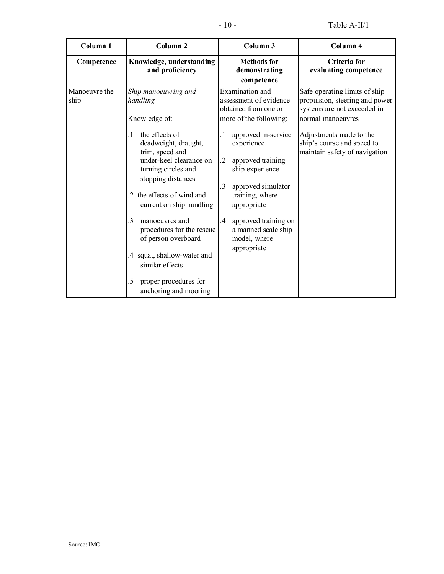| Column <sub>1</sub>   | Column <sub>2</sub>                                                                                                                                                                                                                                                                                                                                                                                         | Column 3                                                                                                                                                                                                                                | Column <sub>4</sub>                                                                                                 |
|-----------------------|-------------------------------------------------------------------------------------------------------------------------------------------------------------------------------------------------------------------------------------------------------------------------------------------------------------------------------------------------------------------------------------------------------------|-----------------------------------------------------------------------------------------------------------------------------------------------------------------------------------------------------------------------------------------|---------------------------------------------------------------------------------------------------------------------|
| Competence            | Knowledge, understanding<br>and proficiency                                                                                                                                                                                                                                                                                                                                                                 | <b>Methods</b> for<br>demonstrating<br>competence                                                                                                                                                                                       | Criteria for<br>evaluating competence                                                                               |
| Manoeuvre the<br>ship | Ship manoeuvring and<br>handling<br>Knowledge of:                                                                                                                                                                                                                                                                                                                                                           | <b>Examination</b> and<br>assessment of evidence<br>obtained from one or<br>more of the following:                                                                                                                                      | Safe operating limits of ship<br>propulsion, steering and power<br>systems are not exceeded in<br>normal manoeuvres |
|                       | the effects of<br>$\cdot$ 1<br>deadweight, draught,<br>trim, speed and<br>under-keel clearance on<br>turning circles and<br>stopping distances<br>the effects of wind and<br>2<br>current on ship handling<br>$\mathcal{E}$<br>manoeuvres and<br>procedures for the rescue<br>of person overboard<br>.4 squat, shallow-water and<br>similar effects<br>proper procedures for<br>.5<br>anchoring and mooring | approved in-service<br>. 1<br>experience<br>.2<br>approved training<br>ship experience<br>3<br>approved simulator<br>training, where<br>appropriate<br>approved training on<br>.4<br>a manned scale ship<br>model, where<br>appropriate | Adjustments made to the<br>ship's course and speed to<br>maintain safety of navigation                              |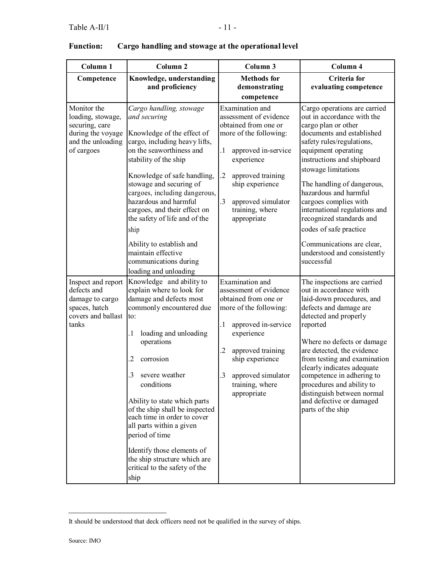| Column <sub>1</sub>                                                                                        | Column <sub>2</sub>                                                                                                                                                                                                                                                                                                                                                                                                                                                                                     | Column 3                                                                                                                                                                                                                                                                  | Column 4                                                                                                                                                                                                                                                                                                                                                                                                                                                                 |
|------------------------------------------------------------------------------------------------------------|---------------------------------------------------------------------------------------------------------------------------------------------------------------------------------------------------------------------------------------------------------------------------------------------------------------------------------------------------------------------------------------------------------------------------------------------------------------------------------------------------------|---------------------------------------------------------------------------------------------------------------------------------------------------------------------------------------------------------------------------------------------------------------------------|--------------------------------------------------------------------------------------------------------------------------------------------------------------------------------------------------------------------------------------------------------------------------------------------------------------------------------------------------------------------------------------------------------------------------------------------------------------------------|
| Competence                                                                                                 | Knowledge, understanding<br>and proficiency                                                                                                                                                                                                                                                                                                                                                                                                                                                             | <b>Methods</b> for<br>demonstrating<br>competence                                                                                                                                                                                                                         | Criteria for<br>evaluating competence                                                                                                                                                                                                                                                                                                                                                                                                                                    |
| Monitor the<br>loading, stowage,<br>securing, care<br>during the voyage<br>and the unloading<br>of cargoes | Cargo handling, stowage<br>and securing<br>Knowledge of the effect of<br>cargo, including heavy lifts,<br>on the seaworthiness and<br>stability of the ship<br>Knowledge of safe handling,<br>stowage and securing of<br>cargoes, including dangerous,<br>hazardous and harmful<br>cargoes, and their effect on<br>the safety of life and of the<br>ship<br>Ability to establish and<br>maintain effective<br>communications during                                                                     | <b>Examination</b> and<br>assessment of evidence<br>obtained from one or<br>more of the following:<br>$\cdot$<br>approved in-service<br>experience<br>$\cdot$<br>approved training<br>ship experience<br>.3<br>approved simulator<br>training, where<br>appropriate       | Cargo operations are carried<br>out in accordance with the<br>cargo plan or other<br>documents and established<br>safety rules/regulations,<br>equipment operating<br>instructions and shipboard<br>stowage limitations<br>The handling of dangerous,<br>hazardous and harmful<br>cargoes complies with<br>international regulations and<br>recognized standards and<br>codes of safe practice<br>Communications are clear,<br>understood and consistently<br>successful |
| Inspect and report<br>defects and<br>damage to cargo<br>spaces, hatch<br>covers and ballast<br>tanks       | loading and unloading<br>Knowledge and ability to<br>explain where to look for<br>damage and defects most<br>commonly encountered due<br>to:<br>loading and unloading<br>.1<br>operations<br>2<br>corrosion<br>.3<br>severe weather<br>conditions<br>Ability to state which parts<br>of the ship shall be inspected<br>each time in order to cover<br>all parts within a given<br>period of time<br>Identify those elements of<br>the ship structure which are<br>critical to the safety of the<br>ship | <b>Examination</b> and<br>assessment of evidence<br>obtained from one or<br>more of the following:<br>$\cdot$<br>approved in-service<br>experience<br>$\overline{2}$<br>approved training<br>ship experience<br>3<br>approved simulator<br>training, where<br>appropriate | The inspections are carried<br>out in accordance with<br>laid-down procedures, and<br>defects and damage are<br>detected and properly<br>reported<br>Where no defects or damage<br>are detected, the evidence<br>from testing and examination<br>clearly indicates adequate<br>competence in adhering to<br>procedures and ability to<br>distinguish between normal<br>and defective or damaged<br>parts of the ship                                                     |

## **Function: Cargo handling and stowage at the operational level**

It should be understood that deck officers need not be qualified in the survey of ships.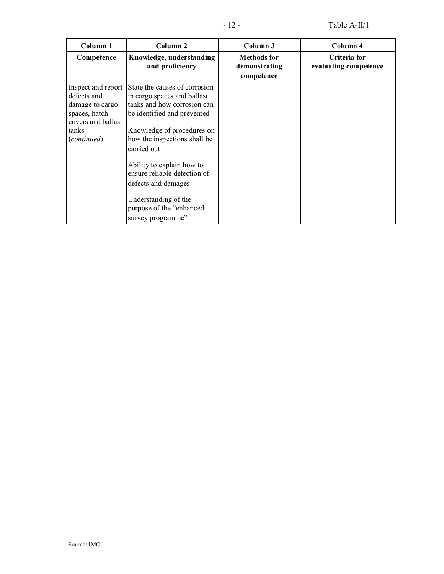| Column 1                                                                                                            | Column 2                                                                                                                                                                                                                                                                                                                                                             | Column 3                                          | Column 4                              |
|---------------------------------------------------------------------------------------------------------------------|----------------------------------------------------------------------------------------------------------------------------------------------------------------------------------------------------------------------------------------------------------------------------------------------------------------------------------------------------------------------|---------------------------------------------------|---------------------------------------|
| Competence                                                                                                          | Knowledge, understanding<br>and proficiency                                                                                                                                                                                                                                                                                                                          | <b>Methods</b> for<br>demonstrating<br>competence | Criteria for<br>evaluating competence |
| Inspect and report<br>defects and<br>damage to cargo<br>spaces, hatch<br>covers and ballast<br>tanks<br>(continued) | State the causes of corrosion<br>in cargo spaces and ballast<br>tanks and how corrosion can<br>be identified and prevented<br>Knowledge of procedures on<br>how the inspections shall be<br>carried out<br>Ability to explain how to<br>ensure reliable detection of<br>defects and damages<br>Understanding of the<br>purpose of the "enhanced<br>survey programme" |                                                   |                                       |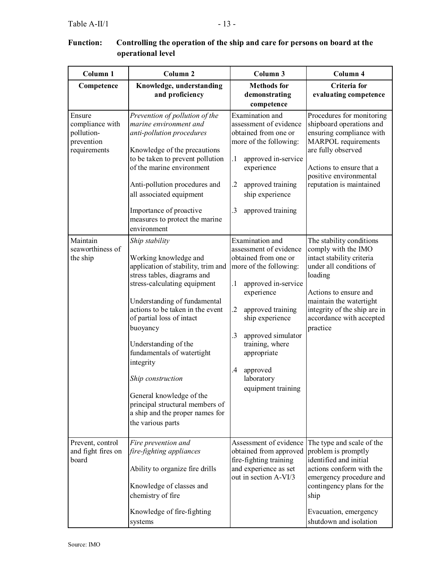| iction:<br>Controlling the operation of the ship and care for persons on board at the<br>operational level |                                                                                                                                                                  |                                                                                             |                                                                                                          |
|------------------------------------------------------------------------------------------------------------|------------------------------------------------------------------------------------------------------------------------------------------------------------------|---------------------------------------------------------------------------------------------|----------------------------------------------------------------------------------------------------------|
| Column 1                                                                                                   | Column 2                                                                                                                                                         | Column 3                                                                                    | Column 4                                                                                                 |
| Competence                                                                                                 | Knowledge, understanding<br>and proficiency                                                                                                                      | <b>Methods for</b><br>demonstrating<br>competence                                           | Criteria for<br>evaluating comp                                                                          |
| sure<br>npliance with<br>lution-<br>vention<br>uirements                                                   | Prevention of pollution of the<br>marine environment and<br><i>anti-pollution procedures</i><br>Knowledge of the precautions<br>to be taken to prevent pollution | Examination and<br>assessment of evidence<br>obtained from one or<br>more of the following: | Procedures for mon<br>shipboard operation<br>ensuring compliand<br>MARPOL requiren<br>are fully observed |
|                                                                                                            |                                                                                                                                                                  | approved in-service                                                                         |                                                                                                          |

## **Function: Controlling the operation of the ship and care for persons on board at the operational**

| Column <sub>1</sub>                                                   | Column <sub>2</sub>                                                                                                                                                                                                                                                                                                                                                                                                                                                      | Column 3                                                                                                                                                                                                                                                                                                           | Column 4                                                                                                                                                                                                                                       |
|-----------------------------------------------------------------------|--------------------------------------------------------------------------------------------------------------------------------------------------------------------------------------------------------------------------------------------------------------------------------------------------------------------------------------------------------------------------------------------------------------------------------------------------------------------------|--------------------------------------------------------------------------------------------------------------------------------------------------------------------------------------------------------------------------------------------------------------------------------------------------------------------|------------------------------------------------------------------------------------------------------------------------------------------------------------------------------------------------------------------------------------------------|
| Competence                                                            | Knowledge, understanding<br>and proficiency                                                                                                                                                                                                                                                                                                                                                                                                                              | <b>Methods</b> for<br>demonstrating<br>competence                                                                                                                                                                                                                                                                  | Criteria for<br>evaluating competence                                                                                                                                                                                                          |
| Ensure<br>compliance with<br>pollution-<br>prevention<br>requirements | Prevention of pollution of the<br>marine environment and<br>anti-pollution procedures<br>Knowledge of the precautions<br>to be taken to prevent pollution<br>of the marine environment<br>Anti-pollution procedures and<br>all associated equipment<br>Importance of proactive<br>measures to protect the marine<br>environment                                                                                                                                          | Examination and<br>assessment of evidence<br>obtained from one or<br>more of the following:<br>$\cdot$<br>approved in-service<br>experience<br>$\cdot$<br>approved training<br>ship experience<br>.3<br>approved training                                                                                          | Procedures for monitoring<br>shipboard operations and<br>ensuring compliance with<br><b>MARPOL</b> requirements<br>are fully observed<br>Actions to ensure that a<br>positive environmental<br>reputation is maintained                        |
| Maintain<br>seaworthiness of<br>the ship                              | Ship stability<br>Working knowledge and<br>application of stability, trim and<br>stress tables, diagrams and<br>stress-calculating equipment<br>Understanding of fundamental<br>actions to be taken in the event<br>of partial loss of intact<br>buoyancy<br>Understanding of the<br>fundamentals of watertight<br>integrity<br>Ship construction<br>General knowledge of the<br>principal structural members of<br>a ship and the proper names for<br>the various parts | Examination and<br>assessment of evidence<br>obtained from one or<br>more of the following:<br>approved in-service<br>$\cdot$<br>experience<br>$\cdot$<br>approved training<br>ship experience<br>.3<br>approved simulator<br>training, where<br>appropriate<br>.4<br>approved<br>laboratory<br>equipment training | The stability conditions<br>comply with the IMO<br>intact stability criteria<br>under all conditions of<br>loading<br>Actions to ensure and<br>maintain the watertight<br>integrity of the ship are in<br>accordance with accepted<br>practice |
| Prevent, control<br>and fight fires on<br>board                       | Fire prevention and<br>fire-fighting appliances<br>Ability to organize fire drills<br>Knowledge of classes and<br>chemistry of fire<br>Knowledge of fire-fighting<br>systems                                                                                                                                                                                                                                                                                             | Assessment of evidence<br>obtained from approved<br>fire-fighting training<br>and experience as set<br>out in section A-VI/3                                                                                                                                                                                       | The type and scale of the<br>problem is promptly<br>identified and initial<br>actions conform with the<br>emergency procedure and<br>contingency plans for the<br>ship<br>Evacuation, emergency<br>shutdown and isolation                      |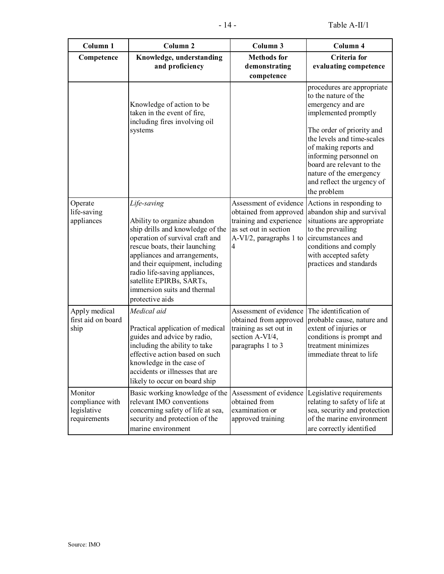| Column <sub>1</sub>                                       | Column <sub>2</sub>                                                                                                                                                                                                                                                                                                                 | Column 3                                                                                                                                                    | Column 4                                                                                                                                                                                                                                                                                                           |
|-----------------------------------------------------------|-------------------------------------------------------------------------------------------------------------------------------------------------------------------------------------------------------------------------------------------------------------------------------------------------------------------------------------|-------------------------------------------------------------------------------------------------------------------------------------------------------------|--------------------------------------------------------------------------------------------------------------------------------------------------------------------------------------------------------------------------------------------------------------------------------------------------------------------|
| Competence                                                | Knowledge, understanding<br>and proficiency                                                                                                                                                                                                                                                                                         | <b>Methods</b> for<br>demonstrating<br>competence                                                                                                           | Criteria for<br>evaluating competence                                                                                                                                                                                                                                                                              |
|                                                           | Knowledge of action to be<br>taken in the event of fire,<br>including fires involving oil<br>systems                                                                                                                                                                                                                                |                                                                                                                                                             | procedures are appropriate<br>to the nature of the<br>emergency and are<br>implemented promptly<br>The order of priority and<br>the levels and time-scales<br>of making reports and<br>informing personnel on<br>board are relevant to the<br>nature of the emergency<br>and reflect the urgency of<br>the problem |
| Operate<br>life-saving<br>appliances                      | Life-saving<br>Ability to organize abandon<br>ship drills and knowledge of the<br>operation of survival craft and<br>rescue boats, their launching<br>appliances and arrangements,<br>and their equipment, including<br>radio life-saving appliances,<br>satellite EPIRBs, SARTs,<br>immersion suits and thermal<br>protective aids | Assessment of evidence<br>obtained from approved<br>training and experience<br>as set out in section<br>A-VI/2, paragraphs 1 to<br>$\overline{\mathcal{A}}$ | Actions in responding to<br>abandon ship and survival<br>situations are appropriate<br>to the prevailing<br>circumstances and<br>conditions and comply<br>with accepted safety<br>practices and standards                                                                                                          |
| Apply medical<br>first aid on board<br>ship               | Medical aid<br>Practical application of medical<br>guides and advice by radio,<br>including the ability to take<br>effective action based on such<br>knowledge in the case of<br>accidents or illnesses that are<br>likely to occur on board ship                                                                                   | Assessment of evidence The identification of<br>obtained from approved<br>training as set out in<br>section A-VI/4,<br>paragraphs 1 to 3                    | probable cause, nature and<br>extent of injuries or<br>conditions is prompt and<br>treatment minimizes<br>immediate threat to life                                                                                                                                                                                 |
| Monitor<br>compliance with<br>legislative<br>requirements | Basic working knowledge of the<br>relevant IMO conventions<br>concerning safety of life at sea,<br>security and protection of the<br>marine environment                                                                                                                                                                             | obtained from<br>examination or<br>approved training                                                                                                        | Assessment of evidence  Legislative requirements<br>relating to safety of life at<br>sea, security and protection<br>of the marine environment<br>are correctly identified                                                                                                                                         |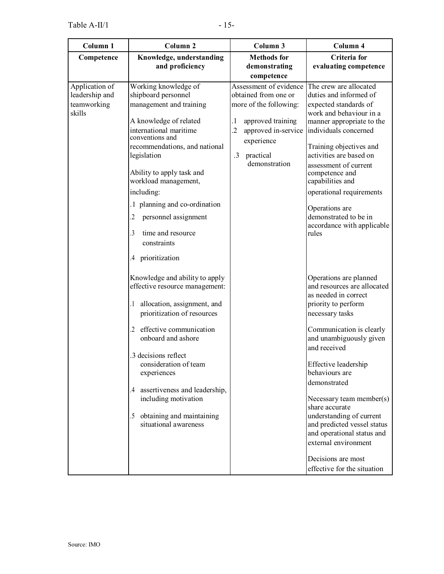| Column 1                                                  | Column <sub>2</sub>                                                                                                                                                                                                                                                                                                                                                                                        | Column 3                                                                                                                                                                                                   | Column 4                                                                                                                                                                                                                                                                                                                                                                                                                                                                     |
|-----------------------------------------------------------|------------------------------------------------------------------------------------------------------------------------------------------------------------------------------------------------------------------------------------------------------------------------------------------------------------------------------------------------------------------------------------------------------------|------------------------------------------------------------------------------------------------------------------------------------------------------------------------------------------------------------|------------------------------------------------------------------------------------------------------------------------------------------------------------------------------------------------------------------------------------------------------------------------------------------------------------------------------------------------------------------------------------------------------------------------------------------------------------------------------|
| Competence                                                | Knowledge, understanding<br>and proficiency                                                                                                                                                                                                                                                                                                                                                                | <b>Methods</b> for<br>demonstrating<br>competence                                                                                                                                                          | Criteria for<br>evaluating competence                                                                                                                                                                                                                                                                                                                                                                                                                                        |
| Application of<br>leadership and<br>teamworking<br>skills | Working knowledge of<br>shipboard personnel<br>management and training<br>A knowledge of related<br>international maritime<br>conventions and<br>recommendations, and national<br>legislation<br>Ability to apply task and<br>workload management,<br>including:<br>.1 planning and co-ordination<br>personnel assignment<br>2<br>time and resource<br>3<br>constraints<br>prioritization<br>$\mathcal{A}$ | Assessment of evidence<br>obtained from one or<br>more of the following:<br>approved training<br>$\cdot$<br>$\overline{2}$<br>approved in-service<br>experience<br>$\cdot$ 3<br>practical<br>demonstration | The crew are allocated<br>duties and informed of<br>expected standards of<br>work and behaviour in a<br>manner appropriate to the<br>individuals concerned<br>Training objectives and<br>activities are based on<br>assessment of current<br>competence and<br>capabilities and<br>operational requirements<br>Operations are<br>demonstrated to be in<br>accordance with applicable<br>rules                                                                                |
|                                                           | Knowledge and ability to apply<br>effective resource management:<br>allocation, assignment, and<br>prioritization of resources<br>effective communication<br>onboard and ashore<br>3 decisions reflect<br>consideration of team<br>experiences<br>.4 assertiveness and leadership,<br>including motivation<br>obtaining and maintaining<br>.5<br>situational awareness                                     |                                                                                                                                                                                                            | Operations are planned<br>and resources are allocated<br>as needed in correct<br>priority to perform<br>necessary tasks<br>Communication is clearly<br>and unambiguously given<br>and received<br>Effective leadership<br>behaviours are<br>demonstrated<br>Necessary team member(s)<br>share accurate<br>understanding of current<br>and predicted vessel status<br>and operational status and<br>external environment<br>Decisions are most<br>effective for the situation |